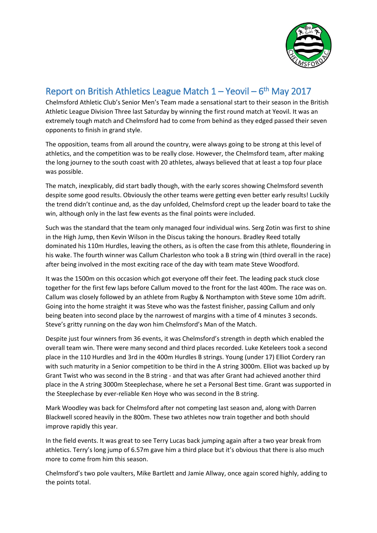

## Report on British Athletics League Match  $1 -$  Yeovil –  $6<sup>th</sup>$  May 2017

Chelmsford Athletic Club's Senior Men's Team made a sensational start to their season in the British Athletic League Division Three last Saturday by winning the first round match at Yeovil. It was an extremely tough match and Chelmsford had to come from behind as they edged passed their seven opponents to finish in grand style.

The opposition, teams from all around the country, were always going to be strong at this level of athletics, and the competition was to be really close. However, the Chelmsford team, after making the long journey to the south coast with 20 athletes, always believed that at least a top four place was possible.

The match, inexplicably, did start badly though, with the early scores showing Chelmsford seventh despite some good results. Obviously the other teams were getting even better early results! Luckily the trend didn't continue and, as the day unfolded, Chelmsford crept up the leader board to take the win, although only in the last few events as the final points were included.

Such was the standard that the team only managed four individual wins. Serg Zotin was first to shine in the High Jump, then Kevin Wilson in the Discus taking the honours. Bradley Reed totally dominated his 110m Hurdles, leaving the others, as is often the case from this athlete, floundering in his wake. The fourth winner was Callum Charleston who took a B string win (third overall in the race) after being involved in the most exciting race of the day with team mate Steve Woodford.

It was the 1500m on this occasion which got everyone off their feet. The leading pack stuck close together for the first few laps before Callum moved to the front for the last 400m. The race was on. Callum was closely followed by an athlete from Rugby & Northampton with Steve some 10m adrift. Going into the home straight it was Steve who was the fastest finisher, passing Callum and only being beaten into second place by the narrowest of margins with a time of 4 minutes 3 seconds. Steve's gritty running on the day won him Chelmsford's Man of the Match.

Despite just four winners from 36 events, it was Chelmsford's strength in depth which enabled the overall team win. There were many second and third places recorded. Luke Keteleers took a second place in the 110 Hurdles and 3rd in the 400m Hurdles B strings. Young (under 17) Elliot Cordery ran with such maturity in a Senior competition to be third in the A string 3000m. Elliot was backed up by Grant Twist who was second in the B string - and that was after Grant had achieved another third place in the A string 3000m Steeplechase, where he set a Personal Best time. Grant was supported in the Steeplechase by ever-reliable Ken Hoye who was second in the B string.

Mark Woodley was back for Chelmsford after not competing last season and, along with Darren Blackwell scored heavily in the 800m. These two athletes now train together and both should improve rapidly this year.

In the field events. It was great to see Terry Lucas back jumping again after a two year break from athletics. Terry's long jump of 6.57m gave him a third place but it's obvious that there is also much more to come from him this season.

Chelmsford's two pole vaulters, Mike Bartlett and Jamie Allway, once again scored highly, adding to the points total.